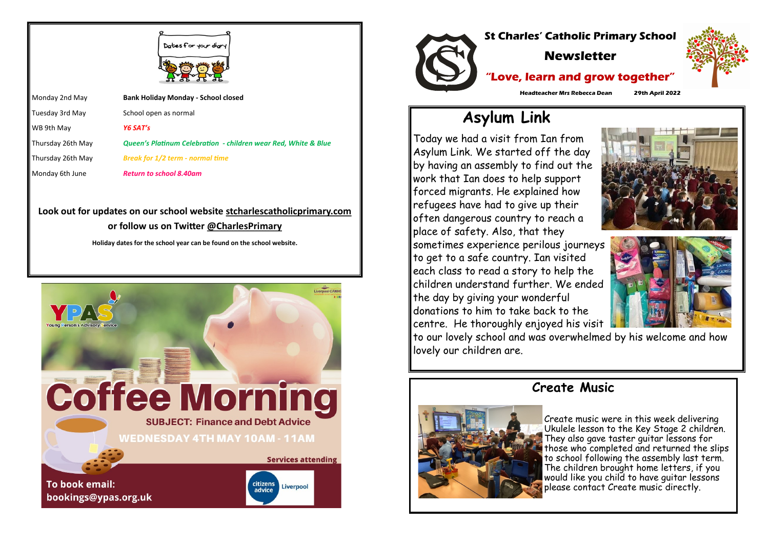Tuesday 3rd May School open as normal Thursday 26th May *Queen's Platinum Celebration - children wear Red, White & Blue*  Thursday 26th May *Break for 1/2 term - normal time*



Monday 2nd May **Bank Holiday Monday - School closed** WB 9th May *Y6 SAT's* Monday 6th June *Return to school 8.40am*

## **Look out for updates on our school website stcharlescatholicprimary.com or follow us on Twitter @CharlesPrimary**

**Holiday dates for the school year can be found on the school website.**





# **Asylum Link**

Today we had a visit from Ian from Asylum Link. We started off the day by having an assembly to find out the work that Ian does to help support forced migrants. He explained how refugees have had to give up their often dangerous country to reach a place of safety. Also, that they sometimes experience perilous journeys to get to a safe country. Ian visited each class to read a story to help the children understand further. We ended the day by giving your wonderful donations to him to take back to the centre. He thoroughly enjoyed his visit to our lovely school and was overwhelmed by his welcome and how lovely our children are.

# **Create Music**



Create music were in this week delivering Ukulele lesson to the Key Stage 2 children. They also gave taster guitar lessons for those who completed and returned the slips to school following the assembly last term. The children brought home letters, if you would like you child to have guitar lessons please contact Create music directly.